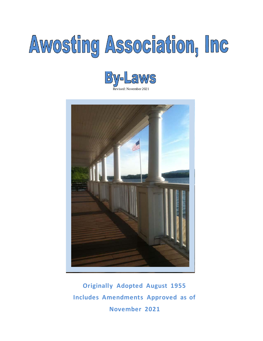# Awosting Association, Inc





**Originally Adopted August 1955 Includes Amendments Approved as of November 2021**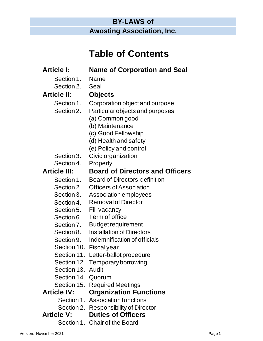# **BY-LAWS of Awosting Association, Inc.**

# **Table of Contents**

| <b>Article I:</b>      | <b>Name of Corporation and Seal</b>    |        |
|------------------------|----------------------------------------|--------|
| Section 1.             | Name                                   |        |
| Section 2.             | Seal                                   |        |
| <b>Article II:</b>     | <b>Objects</b>                         |        |
| Section 1.             | Corporation object and purpose         |        |
| Section 2.             | Particular objects and purposes        |        |
|                        | (a) Common good                        |        |
|                        | (b) Maintenance                        |        |
|                        | (c) Good Fellowship                    |        |
|                        | (d) Health and safety                  |        |
|                        | (e) Policy and control                 |        |
| Section 3.             | Civic organization                     |        |
| Section 4.             | <b>Property</b>                        |        |
| <b>Article III:</b>    | <b>Board of Directors and Officers</b> |        |
| Section 1.             | <b>Board of Directors-definition</b>   |        |
| Section 2.             | <b>Officers of Association</b>         |        |
| Section 3.             | Association employees                  |        |
| Section 4.             | <b>Removal of Director</b>             |        |
| Section 5.             | Fill vacancy                           |        |
| Section 6.             | Term of office                         |        |
| Section 7.             | <b>Budget requirement</b>              |        |
| Section 8.             | <b>Installation of Directors</b>       |        |
| Section 9.             | Indemnification of officials           |        |
| Section 10.            | <b>Fiscal</b> year                     |        |
|                        | Section 11. Letter-ballot procedure    |        |
|                        | Section 12. Temporary borrowing        |        |
| Section 13. Audit      |                                        |        |
| Section 14. Quorum     |                                        |        |
|                        | Section 15. Required Meetings          |        |
| <b>Article IV:</b>     | <b>Organization Functions</b>          |        |
|                        | Section 1. Association functions       |        |
|                        | Section 2. Responsibility of Director  |        |
|                        | <b>Article V: Duties of Officers</b>   |        |
|                        | Section 1. Chair of the Board          |        |
| Version: November 2021 |                                        | Page 1 |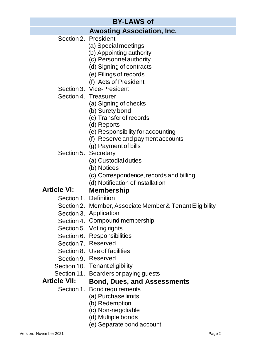# **Awosting Association, Inc.**

Section 2. President

- (a) Special meetings
- (b) Appointing authority
- (c) Personnel authority
- (d) Signing of contracts
- (e) Filings of records
- (f) Acts of President
- Section 3. Vice-President
- Section 4. Treasurer
	- (a) Signing of checks
	- (b) Surety bond
	- (c) Transfer of records
	- (d) Reports
	- (e) Responsibility for accounting
	- (f) Reserve and payment accounts
	- (g) Payment of bills
- Section 5. Secretary
	- (a) Custodial duties
	- (b) Notices
	- (c) Correspondence, records and billing
	- (d) Notification of installation

#### **Article VI: Membership**

- Section 1. Definition
- Section 2. Member, Associate Member & Tenant Eligibility
- Section 3. Application
- Section 4. Compound membership
- Section 5. Voting rights
- Section 6. Responsibilities
- Section 7. Reserved
- Section 8. Use of facilities
- Section 9. Reserved
- Section 10. Tenant eligibility
- Section 11. Boarders or paying guests

#### **Article VII: Bond, Dues, and Assessments**

- Section 1. Bond requirements
	- - (a) Purchaselimits
		- (b) Redemption
		- (c) Non-negotiable
		- (d) Multiple bonds
		- (e) Separate bond account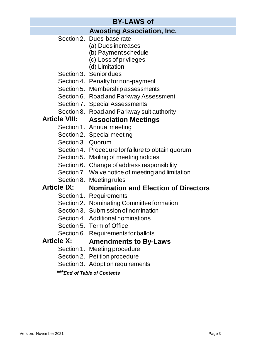# **Awosting Association, Inc.**

- Section 2. Dues-base rate
	- (a) Dues increases
		- (b) Payment schedule
		- (c) Loss of privileges
		- (d) Limitation
- Section 3. Senior dues
- Section 4. Penalty for non-payment
- Section 5. Membership assessments
- Section 6. Road and Parkway Assessment
- Section 7. Special Assessments
- Section 8. Road and Parkway suit authority

# **Article VIII: Association Meetings**

- Section 1. Annual meeting
- Section 2. Special meeting
- Section 3. Quorum
- Section 4. Procedure for failure to obtain quorum
- Section 5. Mailing of meeting notices
- Section 6. Change of address responsibility
- Section 7. Waive notice of meeting and limitation
- Section 8. Meeting rules

## **Article IX: Nomination and Election of Directors**

- Section 1. Requirements
- Section 2. Nominating Committee formation
- Section 3. Submission of nomination
- Section 4. Additional nominations
- Section 5. Term of Office
- Section 6. Requirements for ballots

## **Article X: Amendments to By-Laws**

- Section 1. Meeting procedure
- Section 2. Petition procedure
- Section 3. Adoption requirements

**\*\*\****End of Table of Contents*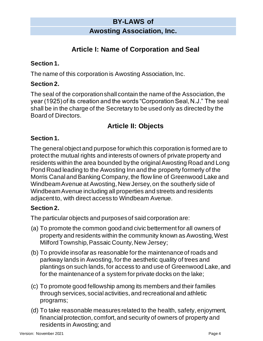# **Awosting Association, Inc.**

# **Article I: Name of Corporation and Seal**

#### **Section 1.**

The name of this corporation is Awosting Association, Inc.

#### **Section 2.**

The seal of the corporation shall contain the name of the Association, the year (1925) of its creation and the words "Corporation Seal, N.J." The seal shall be in the charge of the Secretary to be used only as directed by the Board of Directors.

# **Article II: Objects**

#### **Section 1.**

The general object and purpose for which this corporation is formed are to protect the mutual rights and interests of owners of private property and residents within the area bounded by the original Awosting Road and Long Pond Road leading to the Awosting Inn and the property formerly of the Morris Canal and Banking Company, the flow line of Greenwood Lake and Windbeam Avenue at Awosting, New Jersey, on the southerly side of Windbeam Avenue including all properties and streets and residents adjacent to, with direct access to Windbeam Avenue.

#### **Section 2.**

The particular objects and purposes of said corporation are:

- (a) To promote the common good and civic betterment for all owners of property and residents within the community known as Awosting, West Milford Township, Passaic County, New Jersey;
- (b) To provide insofar as reasonable for the maintenance of roads and parkway lands in Awosting, for the aesthetic quality of trees and plantings on such lands, for access to and use of Greenwood Lake, and for the maintenance of a system for private docks on the lake;
- (c) To promote good fellowship among its members and their families through services, social activities, and recreational and athletic programs;
- (d) To take reasonable measures related to the health, safety, enjoyment, financial protection, comfort, and security of owners of property and residents in Awosting; and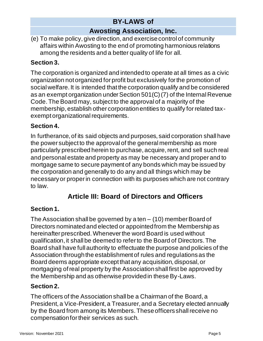# **Awosting Association, Inc.**

(e) To make policy, give direction, and exercise control of community affairs within Awosting to the end of promoting harmonious relations among the residents and a better quality of life for all.

## **Section 3.**

The corporation is organized and intended to operate at all times as a civic organization not organized for profit but exclusively for the promotion of social welfare. It is intended that the corporation qualify and be considered as an exempt organization under Section 501(C)(7) of the Internal Revenue Code. The Board may, subject to the approval of a majority of the membership, establish other corporation entities to qualify for related taxexempt organizational requirements.

#### **Section 4.**

In furtherance, of its said objects and purposes, said corporation shall have the power subject to the approval of the general membership as more particularly prescribed herein to purchase, acquire, rent, and sell such real and personal estate and property as may be necessary and proper and to mortgage same to secure payment of any bonds which may be issued by the corporation and generally to do any and all things which may be necessary or proper in connection with its purposes which are not contrary to law.

# **Article III: Board of Directors and Officers**

## **Section 1.**

The Association shall be governed by a ten – (10) member Board of Directors nominated and elected or appointed from the Membership as hereinafter prescribed. Whenever the word Board is used without qualification, it shall be deemed to refer to the Board of Directors. The Board shall have full authority to effectuate the purpose and policies of the Association through the establishment of rules and regulations as the Board deems appropriate except that any acquisition, disposal, or mortgaging of real property by the Association shall first be approved by the Membership and as otherwise provided in these By-Laws.

#### **Section 2.**

The officers of the Association shall be a Chairman of the Board, a President, a Vice-President, a Treasurer, and a Secretary elected annually by the Board from among its Members. These officers shall receive no compensation for their services as such.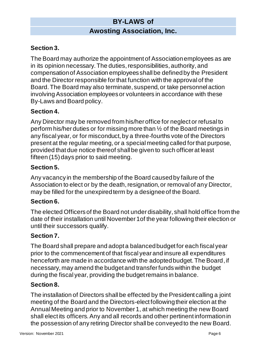# **Awosting Association, Inc.**

## **Section 3.**

The Board may authorize the appointment of Association employees as are in its opinion necessary. The duties, responsibilities, authority, and compensation of Association employees shall be defined by the President and the Director responsible for that function with the approval of the Board. The Board may also terminate, suspend, or take personnel action involving Association employees or volunteers in accordance with these By-Laws and Board policy.

#### **Section 4.**

Any Director may be removed from his/her office for neglect or refusal to perform his/her duties or for missing more than ½ of the Board meetings in any fiscal year, or for misconduct, by a three-fourths vote of the Directors present at the regular meeting, or a special meeting called for that purpose, provided that due notice thereof shall be given to such officer at least fifteen (15) days prior to said meeting.

#### **Section 5.**

Any vacancy in the membership of the Board caused by failure of the Association to elect or by the death, resignation, or removal of any Director, may be filled for the unexpired term by a designee of the Board.

#### **Section 6.**

The elected Officers of the Board not under disability, shall hold office from the date of their installation until November 1of the year following their election or until their successors qualify.

#### **Section 7.**

The Board shall prepare and adopt a balanced budget for each fiscal year prior to the commencement of that fiscal year and insure all expenditures henceforth are made in accordance with the adopted budget. The Board, if necessary, may amend the budget and transfer funds within the budget during the fiscal year, providing the budget remains in balance.

#### **Section 8.**

The installation of Directors shall be effected by the President calling a joint meeting of the Board and the Directors-elect following their election at the Annual Meeting and prior to November 1, at which meeting the new Board shall elect its officers. Any and all records and other pertinent information in the possession of any retiring Director shall be conveyed to the new Board.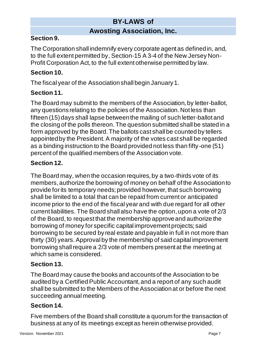## **Awosting Association, Inc.**

## **Section 9.**

The Corporation shall indemnify every corporate agent as defined in, and, to the full extent permitted by, Section-15 A 3-4 of the New Jersey Non-Profit Corporation Act, to the full extent otherwise permitted by law.

#### **Section 10.**

The fiscal year of the Association shall begin January 1.

## **Section 11.**

The Board may submit to the members of the Association, by letter-ballot, any questions relating to the policies of the Association. Not less than fifteen (15) days shall lapse between the mailing of such letter-ballot and the closing of the polls thereon. The question submitted shall be stated in a form approved by the Board. The ballots cast shall be counted by tellers appointed by the President. A majority of the votes cast shall be regarded as a binding instruction to the Board provided not less than fifty-one (51) percent of the qualified members of the Association vote.

## **Section 12.**

The Board may, when the occasion requires, by a two-thirds vote of its members, authorize the borrowing of money on behalf of the Association to provide for its temporary needs; provided however, that such borrowing shall be limited to a total that can be repaid from current or anticipated income prior to the end of the fiscal year and with due regard for all other current liabilities. The Board shall also have the option, upon a vote of 2/3 of the Board, to request that the membership approve and authorize the borrowing of money for specific capital improvement projects; said borrowing to be secured by real estate and payable in full in not more than thirty (30) years. Approval by the membership of said capital improvement borrowing shall require a 2/3 vote of members present at the meeting at which same is considered.

#### **Section 13.**

The Board may cause the books and accounts of the Association to be audited by a Certified Public Accountant, and a report of any such audit shall be submitted to the Members of the Association at or before the next succeeding annual meeting.

#### **Section 14.**

Five members of the Board shall constitute a quorum for the transaction of business at any of its meetings except as herein otherwise provided.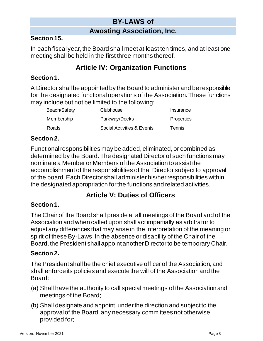# **Awosting Association, Inc.**

#### **Section 15.**

In each fiscal year, the Board shall meet at least ten times, and at least one meeting shall be held in the first three months thereof.

# **Article IV: Organization Functions**

#### **Section 1.**

A Director shall be appointed by the Board to administer and be responsible for the designated functional operations of the Association. These functions may include but not be limited to the following:

| Beach/Safety | Clubhouse                  | Insurance     |
|--------------|----------------------------|---------------|
| Membership   | Parkway/Docks              | Properties    |
| Roads        | Social Activities & Events | <b>Tennis</b> |

#### **Section 2.**

Functional responsibilities may be added, eliminated, or combined as determined by the Board. The designated Director of such functions may nominate a Member or Members of the Association to assist the accomplishment of the responsibilities of that Director subject to approval of the board. Each Director shall administer his/her responsibilities within the designated appropriation forthe functions and related activities.

# **Article V: Duties of Officers**

#### **Section 1.**

The Chair of the Board shall preside at all meetings of the Board and of the Association and when called upon shall act impartially as arbitrator to adjust any differences that may arise in the interpretation of the meaning or spirit of these By-Laws. In the absence or disability of the Chair of the Board, the President shall appoint another Director to be temporary Chair.

#### **Section 2.**

The President shall be the chief executive officer of the Association, and shall enforce its policies and execute the will of the Association and the Board:

- (a) Shall have the authority to call special meetings of the Association and meetings of the Board;
- (b) Shall designate and appoint, under the direction and subject to the approval of the Board, any necessary committees not otherwise provided for;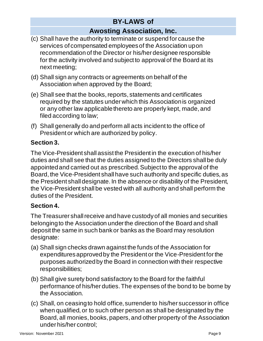# **Awosting Association, Inc.**

- (c) Shall have the authority to terminate or suspend for cause the services of compensated employees of the Association upon recommendation of the Director or his/her designee responsible for the activity involved and subject to approval of the Board at its next meeting;
- (d) Shall sign any contracts or agreements on behalf of the Association when approved by the Board;
- (e) Shall see that the books, reports, statements and certificates required by the statutes under which this Association is organized or any other law applicable thereto are properly kept, made, and filed according to law;
- (f) Shall generally do and perform all acts incident to the office of President or which are authorized by policy.

## **Section 3.**

The Vice-President shall assist the President in the execution of his/her duties and shall see that the duties assigned to the Directors shall be duly appointed and carried out as prescribed. Subject to the approval of the Board, the Vice-President shall have such authority and specific duties, as the President shall designate. In the absence or disability of the President, the Vice-President shall be vested with all authority and shall perform the duties of the President.

## **Section 4.**

The Treasurer shall receive and have custody of all monies and securities belonging to the Association under the direction of the Board and shall deposit the same in such bank or banks as the Board may resolution designate:

- (a) Shall sign checks drawn against the funds of the Association for expenditures approved by the President or the Vice-President for the purposes authorized by the Board in connection with their respective responsibilities;
- (b) Shall give surety bond satisfactory to the Board for the faithful performance of his/her duties. The expenses of the bond to be borne by the Association.
- (c) Shall, on ceasing to hold office, surrender to his/her successor in office when qualified, or to such other person as shall be designated by the Board, all monies, books, papers, and other property of the Association under his/her control;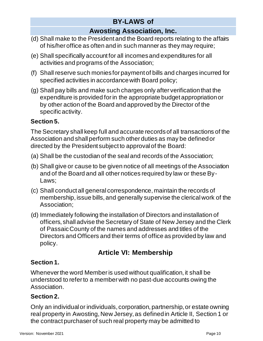# **Awosting Association, Inc.**

- (d) Shall make to the President and the Board reports relating to the affairs of his/her office as often and in such manner as they may require;
- (e) Shall specifically account for all incomes and expenditures for all activities and programs of the Association;
- (f) Shall reserve such monies for payment of bills and charges incurred for specified activities in accordance with Board policy;
- (g) Shall pay bills and make such charges only after verification that the expenditure is provided for in the appropriate budget appropriation or by other action of the Board and approved by the Director of the specific activity.

## **Section 5.**

The Secretary shall keep full and accurate records of all transactions of the Association and shall perform such other duties as may be defined or directed by the President subject to approval of the Board:

- (a) Shall be the custodian of the seal and records of the Association;
- (b) Shall give or cause to be given notice of all meetings of the Association and of the Board and all other notices required by law or these By-Laws;
- (c) Shall conduct all general correspondence, maintain the records of membership, issue bills, and generally supervise the clerical work of the Association;
- (d) Immediately following the installation of Directors and installation of officers, shall advise the Secretary of State of New Jersey and the Clerk of Passaic County of the names and addresses and titles of the Directors and Officers and their terms of office as provided by law and policy.

# **Article VI: Membership**

## **Section 1.**

Whenever the word Memberis used without qualification, it shall be understood to refer to a member with no past-due accounts owing the Association.

## **Section 2.**

Only an individual or individuals, corporation, partnership, or estate owning real property in Awosting, New Jersey, as defined in Article II, Section 1 or the contract purchaser of such real property may be admitted to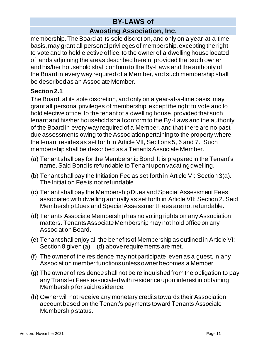# **Awosting Association, Inc.**

membership. The Board at its sole discretion, and only on a year-at-a-time basis, may grant all personal privileges of membership, excepting the right to vote and to hold elective office, to the owner of a dwelling house located of lands adjoining the areas described herein, provided that such owner and his/her household shall conform to the By-Laws and the authority of the Board in every way required of a Member, and such membership shall be described as an Associate Member.

#### **Section 2.1**

The Board, at its sole discretion, and only on a year-at-a-time basis, may grant all personal privileges of membership, except the right to vote and to hold elective office, to the tenant of a dwelling house, provided that such tenant and his/her household shall conform to the By-Laws and the authority of the Board in every way required of a Member, and that there are no past due assessments owing to the Association pertaining to the property where the tenant resides as set forth in Article VII, Sections 5, 6 and 7. Such membership shall be described as a Tenants Associate Member.

- (a) Tenant shall pay for the Membership Bond. It is prepared in the Tenant's name. Said Bond is refundable to Tenant upon vacating dwelling.
- (b) Tenant shall pay the Initiation Fee as set forth in Article VI: Section 3(a). The Initiation Fee is not refundable.
- (c) Tenant shall pay the Membership Dues and Special Assessment Fees associated with dwelling annually as set forth in Article VII: Section 2. Said Membership Dues and Special Assessment Fees are not refundable.
- (d) Tenants Associate Membership has no voting rights on any Association matters. Tenants Associate Membership may not hold office on any Association Board.
- (e) Tenant shall enjoy all the benefits of Membership as outlined in Article VI: Section 8 given (a)  $-$  (d) above requirements are met.
- (f) The owner of the residence may not participate, even as a guest, in any Association member functions unless owner becomes a Member.
- (g) The owner of residence shall not be relinquished from the obligation to pay any Transfer Fees associated with residence upon interest in obtaining Membership for said residence.
- (h) Owner will not receive any monetary credits towards their Association account based on the Tenant's payments toward Tenants Associate Membership status.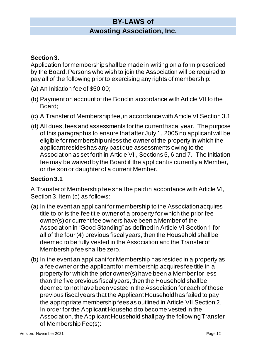## **Awosting Association, Inc.**

#### **Section 3.**

Application for membership shall be made in writing on a form prescribed by the Board. Persons who wish to join the Association will be required to pay all of the following prior to exercising any rights of membership:

- (a) An Initiation fee of \$50.00;
- (b) Payment on account of the Bond in accordance with Article VII to the Board;
- (c) A Transfer of Membership fee, in accordance with Article VI Section 3.1
- (d) All dues, fees and assessments for the current fiscal year. The purpose of this paragraph is to ensure that after July 1, 2005 no applicant will be eligible for membership unless the owner of the property in which the applicant resides has any past due assessments owing to the Association as set forth in Article VII, Sections 5, 6 and 7. The Initiation fee may be waived by the Board if the applicant is currently a Member, or the son or daughter of a current Member.

#### **Section 3.1**

A Transfer of Membership fee shall be paid in accordance with Article VI, Section 3, Item (c) as follows:

- (a) In the event an applicant for membership to the Associationacquires title to or is the fee title owner of a property for which the prior fee owner(s) or current fee owners have been a Member of the Association in "Good Standing" as defined in Article VI Section 1 for all of the four (4) previous fiscal years, then the Household shall be deemed to be fully vested in the Association and the Transfer of Membership fee shall be zero.
- (b) In the event an applicant for Membership has resided in a property as a fee owner or the applicant for membership acquires fee title in a property for which the prior owner(s) have been a Member for less than the five previous fiscal years, then the Household shall be deemed to not have been vested in the Association for each of those previous fiscal years that the Applicant Household has failed to pay the appropriate membership fees as outlined in Article VII Section 2. In order for the Applicant Household to become vested in the Association, the Applicant Household shall pay the following Transfer of Membership Fee(s):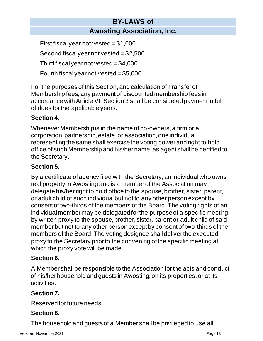## **BY-LAWS of Awosting Association, Inc.**

First fiscal year not vested =  $$1,000$ Second fiscal year not vested =  $$2,500$ Third fiscal year not vested =  $$4,000$ Fourth fiscal year not vested =  $$5,000$ 

For the purposes of this Section, and calculation of Transfer of Membership fees, any payment of discounted membership fees in accordance with Article VII Section 3 shall be considered payment in full of dues for the applicable years.

## **Section 4.**

Whenever Membership is in the name of co-owners, a firm or a corporation, partnership, estate, or association, one individual representing the same shall exercise the voting power and right to hold office of such Membership and his/her name, as agent shall be certified to the Secretary.

## **Section 5.**

By a certificate of agency filed with the Secretary, an individual who owns real property in Awosting and is a member of the Association may delegate his/her right to hold office to the spouse, brother, sister, parent, or adult child of such individual but not to any other person except by consent of two-thirds of the members of the Board. The voting rights of an individual member may be delegated for the purpose of a specific meeting by written proxy to the spouse, brother, sister, parent or adult child of said member but not to any other person except by consent of two-thirds of the members of the Board. The voting designee shall deliver the executed proxy to the Secretary prior to the convening of the specific meeting at which the proxy vote will be made.

#### **Section 6.**

A Member shall be responsible to the Association for the acts and conduct of his/her household and guests in Awosting, on its properties, or at its activities.

## **Section 7.**

Reserved for future needs.

## **Section 8.**

The household and guests of a Member shall be privileged to use all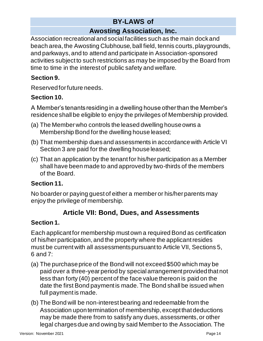# **Awosting Association, Inc.**

Association recreational and social facilities such as the main dock and beach area, the Awosting Clubhouse, ball field, tennis courts, playgrounds, and parkways, and to attend and participate in Association-sponsored activities subject to such restrictions as may be imposed by the Board from time to time in the interest of public safety and welfare.

## **Section 9.**

Reserved for future needs.

## **Section 10.**

A Member's tenants residing in a dwelling house other than the Member's residence shall be eligible to enjoy the privileges of Membership provided.

- (a) The Member who controls the leased dwelling house owns a Membership Bond for the dwelling house leased;
- (b) That membership dues and assessments in accordance with Article VI Section 3 are paid for the dwelling house leased;
- (c) That an application by the tenant for his/her participation as a Member shall have been made to and approved by two-thirds of the members of the Board.

## **Section 11.**

No boarder or paying guest of either a member or his/her parents may enjoy the privilege of membership.

# **Article VII: Bond, Dues, and Assessments**

## **Section 1.**

Each applicant for membership must own a required Bond as certification of his/her participation, and the property where the applicant resides must be current with all assessments pursuant to Article VII, Sections 5, 6 and 7:

- (a) The purchase price of the Bond will not exceed \$500 which may be paid over a three-year period by special arrangement provided that not less than forty (40) percent of the face value thereon is paid on the date the first Bond payment is made. The Bond shall be issued when full payment is made.
- (b) The Bond will be non-interest bearing and redeemable from the Association upon termination of membership, except that deductions may be made there from to satisfy any dues, assessments, or other legal charges due and owing by said Member to the Association. The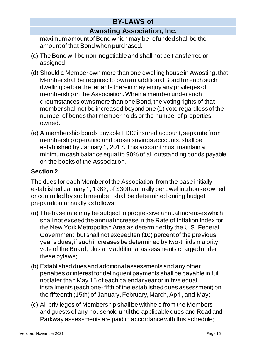# **Awosting Association, Inc.**

maximum amount of Bond which may be refunded shall be the amount of that Bond when purchased.

- (c) The Bond will be non-negotiable and shall not be transferred or assigned.
- (d) Should a Member own more than one dwelling house in Awosting, that Member shall be required to own an additional Bond for each such dwelling before the tenants therein may enjoy any privileges of membership in the Association. When a member under such circumstances owns more than one Bond, the voting rights of that member shall not be increased beyond one (1) vote regardless of the number of bonds that member holds or the number of properties owned.
- (e) A membership bonds payable FDIC insured account, separate from membership operating and broker savings accounts, shall be established by January 1, 2017. This account must maintain a minimum cash balance equal to 90% of all outstanding bonds payable on the books of the Association.

## **Section 2.**

The dues for each Member of the Association, from the base initially established January 1, 1982, of \$300 annually per dwelling house owned or controlled by such member, shall be determined during budget preparation annually as follows:

- (a) The base rate may be subject to progressive annual increaseswhich shall not exceed the annual increase in the Rate of Inflation Index for the New York Metropolitan Area as determined by the U.S. Federal Government, but shall not exceed ten (10) percent of the previous year's dues, if such increases be determined by two-thirds majority vote of the Board, plus any additional assessments charged under these bylaws;
- (b) Established dues and additional assessments and any other penalties or interest for delinquent payments shall be payable in full not later than May 15 of each calendar year or in five equal installments (each one-fifth of the established dues assessment) on the fifteenth (15th) of January, February, March, April, and May;
- (c) All privileges of Membership shall be withheld from the Members and guests of any household until the applicable dues and Road and Parkway assessments are paid in accordance with this schedule;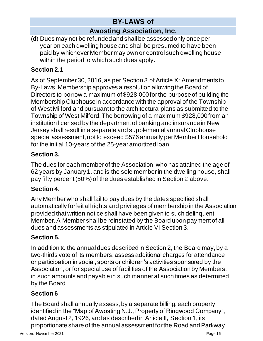# **Awosting Association, Inc.**

(d) Dues may not be refunded and shall be assessed only once per year on each dwelling house and shall be presumed to have been paid by whichever Member may own or control such dwelling house within the period to which such dues apply.

## **Section 2.1**

As of September 30, 2016, as per Section 3 of Article X: Amendments to By-Laws, Membership approves a resolution allowing the Board of Directors to borrow a maximum of \$928,000 for the purpose of building the Membership Clubhouse in accordance with the approval of the Township of West Milford and pursuant to the architectural plans as submitted to the Township of West Milford. The borrowing of a maximum \$928,000 from an institution licensed by the department of banking and insurance in New Jersey shall result in a separate and supplemental annual Clubhouse special assessment, not to exceed \$576 annually per Member Household for the initial 10-years of the 25-year amortized loan.

## **Section 3.**

The dues for each member of the Association, who has attained the age of 62 years by January 1, and is the sole member in the dwelling house, shall pay fifty percent (50%) of the dues established in Section 2 above.

## **Section 4.**

Any Member who shall fail to pay dues by the dates specified shall automatically forfeit all rights and privileges of membership in the Association provided that written notice shall have been given to such delinquent Member. A Member shall be reinstated by the Board upon payment of all dues and assessments as stipulated in Article VI Section 3.

# **Section 5.**

In addition to the annual dues described in Section 2, the Board may, by a two-thirds vote of its members, assess additional charges for attendance or participation in social, sports or children's activities sponsored by the Association, or for special use of facilities of the Association by Members, in such amounts and payable in such manner at such times as determined by the Board.

# **Section 6**

The Board shall annually assess, by a separate billing, each property identified in the "Map of Awosting N.J., Property of Ringwood Company", dated August 2, 1926, and as described in Article II, Section 1, its proportionate share of the annual assessment for the Road and Parkway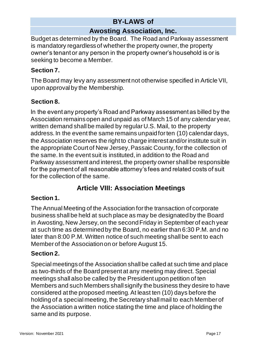# **Awosting Association, Inc.**

Budget as determined by the Board. The Road and Parkway assessment is mandatory regardless of whether the property owner, the property owner's tenant or any person in the property owner's household is or is seeking to become a Member.

## **Section 7.**

The Board may levy any assessment not otherwise specified in Article VII, upon approval by the Membership.

## **Section 8.**

In the event any property's Road and Parkway assessment as billed by the Association remains open and unpaid as of March 15 of any calendar year, written demand shall be mailed by regular U.S. Mail, to the property address. In the event the same remains unpaid for ten (10) calendar days, the Association reserves the right to charge interest and/or institute suit in the appropriate Court of New Jersey, Passaic County, for the collection of the same. In the event suit is instituted, in addition to the Road and Parkway assessment and interest, the property owner shall be responsible for the payment of all reasonable attorney's fees and related costs of suit for the collection of the same.

# **Article VIII: Association Meetings**

## **Section 1.**

The Annual Meeting of the Association for the transaction of corporate business shall be held at such place as may be designated by the Board in Awosting, New Jersey, on the second Friday in September of each year at such time as determined by the Board, no earlier than 6:30 P.M. and no later than 8:00 P.M. Written notice of such meeting shall be sent to each Member of the Association on or before August 15.

#### **Section 2.**

Special meetings of the Association shall be called at such time and place as two-thirds of the Board present at any meeting may direct. Special meetings shall also be called by the President upon petition of ten Members and such Members shall signify the business they desire to have considered at the proposed meeting. At least ten (10) days before the holding of a special meeting, the Secretary shall mail to each Member of the Association a written notice stating the time and place of holding the same and its purpose.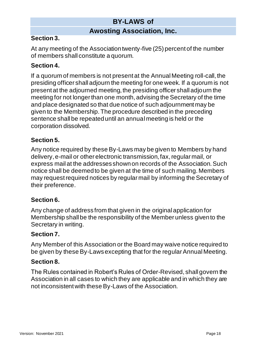## **Awosting Association, Inc.**

#### **Section 3.**

At any meeting of the Association twenty-five (25) percent of the number of members shall constitute a quorum.

#### **Section 4.**

If a quorum of members is not present at the Annual Meeting roll-call, the presiding officer shall adjourn the meeting for one week. If a quorum is not present at the adjourned meeting, the presiding officer shall adjourn the meeting for not longer than one month, advising the Secretary of the time and place designated so that due notice of such adjournment may be given to the Membership. The procedure described in the preceding sentence shall be repeated until an annual meeting is held or the corporation dissolved.

#### **Section 5.**

Any notice required by these By-Laws may be given to Members by hand delivery, e-mail or other electronic transmission, fax, regular mail, or express mail at the addresses shown on records of the Association. Such notice shall be deemed to be given at the time of such mailing. Members may request required notices by regular mail by informing the Secretary of their preference.

#### **Section 6.**

Any change of address from that given in the original application for Membership shall be the responsibility of the Member unless given to the Secretary in writing.

#### **Section 7.**

Any Member of this Association or the Board may waive notice required to be given by these By-Laws excepting that for the regular Annual Meeting.

#### **Section 8.**

The Rules contained in Robert's Rules of Order-Revised, shall govern the Association in all cases to which they are applicable and in which they are not inconsistent with these By-Laws of the Association.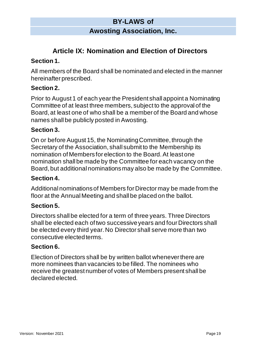## **Awosting Association, Inc.**

# **Article IX: Nomination and Election of Directors**

#### **Section 1.**

All members of the Board shall be nominated and elected in the manner hereinafter prescribed.

#### **Section 2.**

Prior to August 1 of each year the President shall appoint a Nominating Committee of at least three members, subject to the approval of the Board, at least one of who shall be a member of the Board and whose names shall be publicly posted in Awosting.

#### **Section 3.**

On or before August 15, the Nominating Committee, through the Secretary of the Association, shall submit to the Membership its nomination of Members for election to the Board. At least one nomination shall be made by the Committee for each vacancy on the Board, but additional nominations may also be made by the Committee.

#### **Section 4.**

Additional nominations of Members for Director may be made from the floor at the Annual Meeting and shall be placed on the ballot.

#### **Section 5.**

Directors shall be elected for a term of three years. Three Directors shall be elected each of two successive years and four Directors shall be elected every third year. No Director shall serve more than two consecutive elected terms.

#### **Section 6.**

Election of Directors shall be by written ballot whenever there are more nominees than vacancies to be filled. The nominees who receive the greatest number of votes of Members present shall be declared elected.